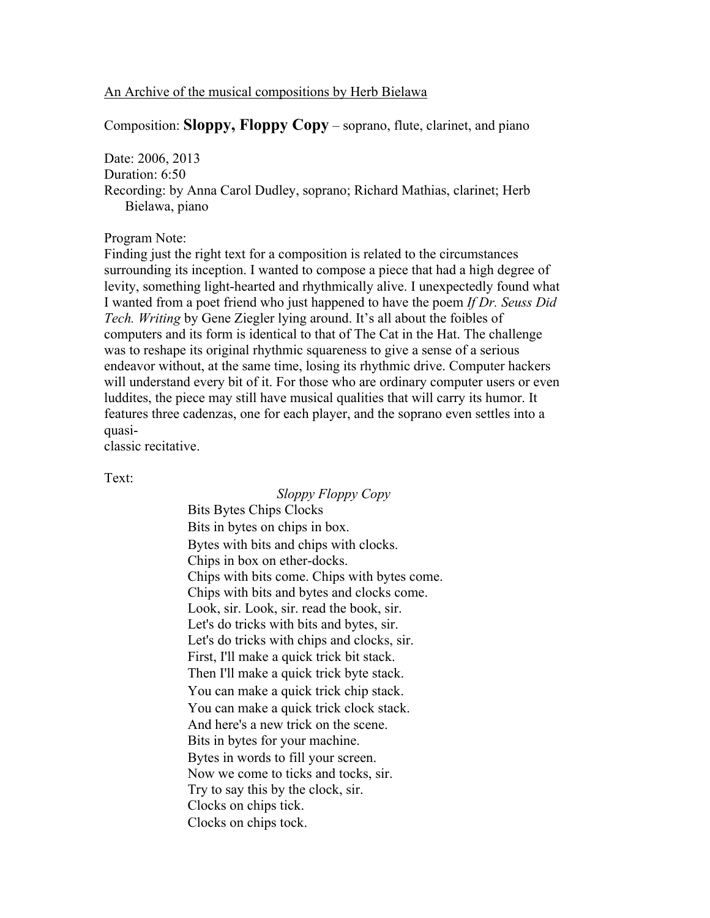## An Archive of the musical compositions by Herb Bielawa

Composition: **Sloppy, Floppy Copy** – soprano, flute, clarinet, and piano

Date: 2006, 2013

Duration: 6:50

Recording: by Anna Carol Dudley, soprano; Richard Mathias, clarinet; Herb Bielawa, piano

Program Note:

Finding just the right text for a composition is related to the circumstances surrounding its inception. I wanted to compose a piece that had a high degree of levity, something light-hearted and rhythmically alive. I unexpectedly found what I wanted from a poet friend who just happened to have the poem *If Dr. Seuss Did Tech. Writing* by Gene Ziegler lying around. It's all about the foibles of computers and its form is identical to that of The Cat in the Hat. The challenge was to reshape its original rhythmic squareness to give a sense of a serious endeavor without, at the same time, losing its rhythmic drive. Computer hackers will understand every bit of it. For those who are ordinary computer users or even luddites, the piece may still have musical qualities that will carry its humor. It features three cadenzas, one for each player, and the soprano even settles into a quasi-

classic recitative.

Text:

*Sloppy Floppy Copy* Bits Bytes Chips Clocks Bits in bytes on chips in box. Bytes with bits and chips with clocks. Chips in box on ether-docks. Chips with bits come. Chips with bytes come. Chips with bits and bytes and clocks come. Look, sir. Look, sir. read the book, sir. Let's do tricks with bits and bytes, sir. Let's do tricks with chips and clocks, sir. First, I'll make a quick trick bit stack. Then I'll make a quick trick byte stack. You can make a quick trick chip stack. You can make a quick trick clock stack. And here's a new trick on the scene. Bits in bytes for your machine. Bytes in words to fill your screen. Now we come to ticks and tocks, sir. Try to say this by the clock, sir. Clocks on chips tick. Clocks on chips tock.